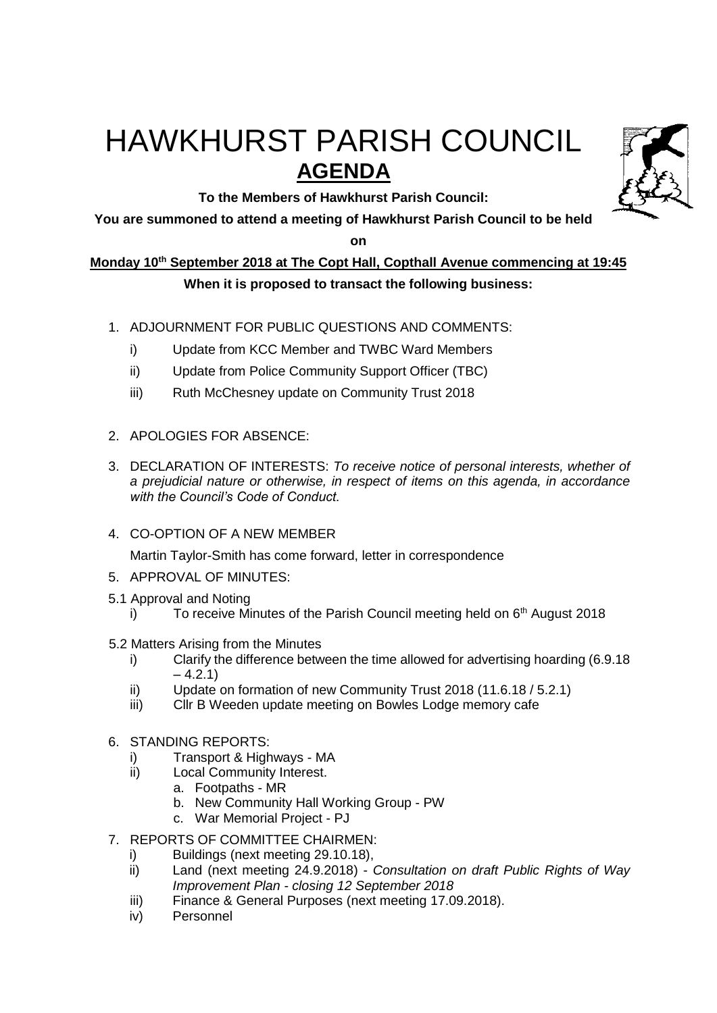# HAWKHURST PARISH COUNCIL **AGENDA**

**To the Members of Hawkhurst Parish Council:**

**You are summoned to attend a meeting of Hawkhurst Parish Council to be held** 

**on**

## **Monday 10th September 2018 at The Copt Hall, Copthall Avenue commencing at 19:45 When it is proposed to transact the following business:**

- 1. ADJOURNMENT FOR PUBLIC QUESTIONS AND COMMENTS:
	- i) Update from KCC Member and TWBC Ward Members
	- ii) Update from Police Community Support Officer (TBC)
	- iii) Ruth McChesney update on Community Trust 2018
- 2. APOLOGIES FOR ABSENCE:
- 3. DECLARATION OF INTERESTS: *To receive notice of personal interests, whether of a prejudicial nature or otherwise, in respect of items on this agenda, in accordance with the Council's Code of Conduct.*
- 4. CO-OPTION OF A NEW MEMBER

Martin Taylor-Smith has come forward, letter in correspondence

- 5. APPROVAL OF MINUTES:
- 5.1 Approval and Noting
	- i) To receive Minutes of the Parish Council meeting held on  $6<sup>th</sup>$  August 2018
- 5.2 Matters Arising from the Minutes
	- i) Clarify the difference between the time allowed for advertising hoarding (6.9.18  $-4.2.1$
	- ii) Update on formation of new Community Trust 2018 (11.6.18 / 5.2.1)
	- iii) Cllr B Weeden update meeting on Bowles Lodge memory cafe
- 6. STANDING REPORTS:
	- i) Transport & Highways MA
	- ii) Local Community Interest.
		- a. Footpaths MR
		- b. New Community Hall Working Group PW
		- c. War Memorial Project PJ
- 7. REPORTS OF COMMITTEE CHAIRMEN:
	- i) Buildings (next meeting 29.10.18),
	- ii) Land (next meeting 24.9.2018) *Consultation on draft Public Rights of Way Improvement Plan - closing 12 September 2018*
	- iii) Finance & General Purposes (next meeting 17.09.2018).
	- iv) Personnel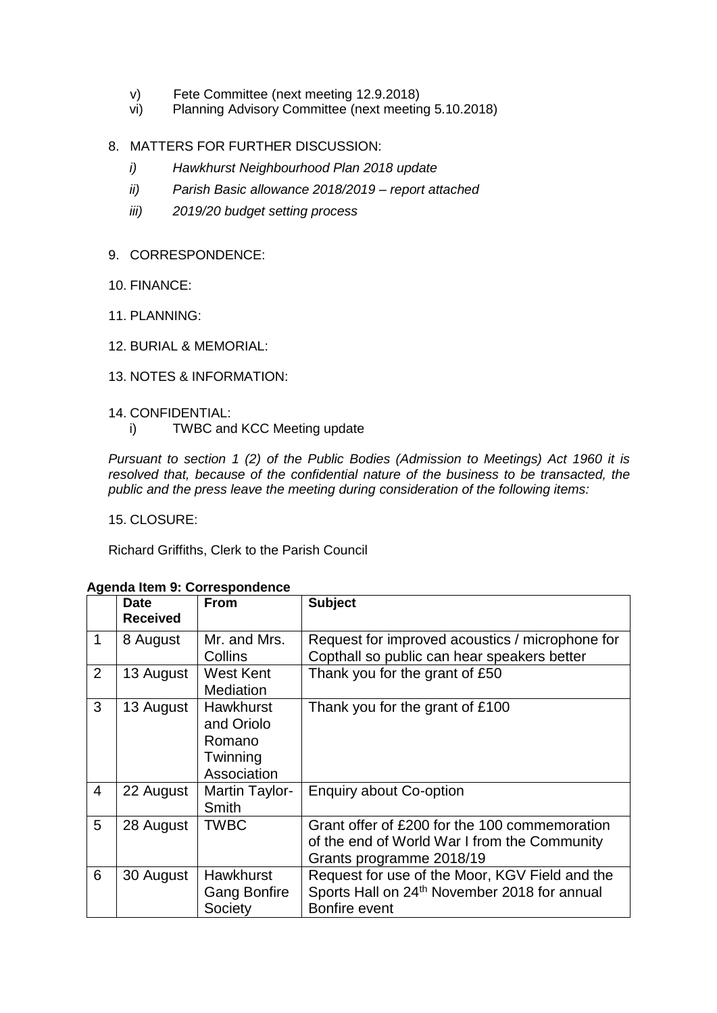- v) Fete Committee (next meeting 12.9.2018)
- vi) Planning Advisory Committee (next meeting 5.10.2018)
- 8. MATTERS FOR FURTHER DISCUSSION:
	- *i) Hawkhurst Neighbourhood Plan 2018 update*
	- *ii) Parish Basic allowance 2018/2019 – report attached*
	- *iii) 2019/20 budget setting process*
- 9. CORRESPONDENCE:
- 10. FINANCE:
- 11. PLANNING:
- 12. BURIAL & MEMORIAL:
- 13. NOTES & INFORMATION:
- 14. CONFIDENTIAL:
	- i) TWBC and KCC Meeting update

*Pursuant to section 1 (2) of the Public Bodies (Admission to Meetings) Act 1960 it is resolved that, because of the confidential nature of the business to be transacted, the public and the press leave the meeting during consideration of the following items:*

15. CLOSURE:

Richard Griffiths, Clerk to the Parish Council

|                | <b>Date</b><br><b>Received</b> | <b>From</b>         | <b>Subject</b>                                           |
|----------------|--------------------------------|---------------------|----------------------------------------------------------|
| 1              | 8 August                       | Mr. and Mrs.        | Request for improved acoustics / microphone for          |
|                |                                | Collins             | Copthall so public can hear speakers better              |
| 2              | 13 August                      | West Kent           | Thank you for the grant of £50                           |
|                |                                | Mediation           |                                                          |
| 3              | 13 August                      | <b>Hawkhurst</b>    | Thank you for the grant of £100                          |
|                |                                | and Oriolo          |                                                          |
|                |                                | Romano              |                                                          |
|                |                                | Twinning            |                                                          |
|                |                                | Association         |                                                          |
| $\overline{4}$ | 22 August                      | Martin Taylor-      | <b>Enquiry about Co-option</b>                           |
|                |                                | Smith               |                                                          |
| 5              | 28 August                      | <b>TWBC</b>         | Grant offer of £200 for the 100 commemoration            |
|                |                                |                     | of the end of World War I from the Community             |
|                |                                |                     | Grants programme 2018/19                                 |
| 6              | 30 August                      | <b>Hawkhurst</b>    | Request for use of the Moor, KGV Field and the           |
|                |                                | <b>Gang Bonfire</b> | Sports Hall on 24 <sup>th</sup> November 2018 for annual |
|                |                                | Society             | Bonfire event                                            |

#### **Agenda Item 9: Correspondence**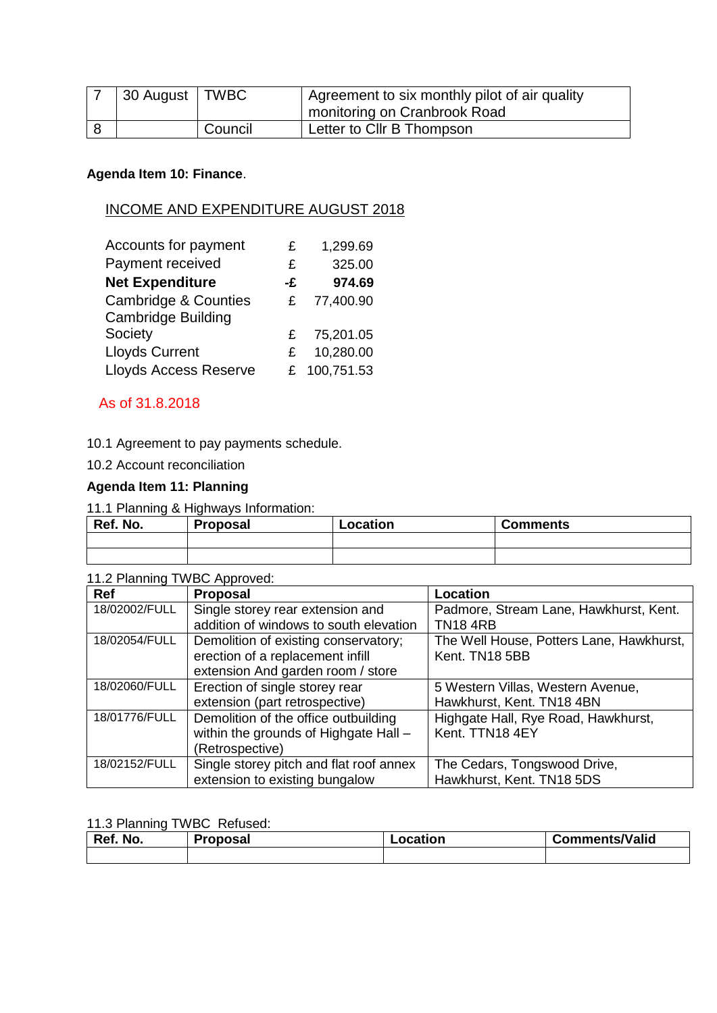| 30 August   TWBC |         | Agreement to six monthly pilot of air quality |
|------------------|---------|-----------------------------------------------|
|                  |         | monitoring on Cranbrook Road                  |
|                  | Council | Letter to Cllr B Thompson                     |

#### **Agenda Item 10: Finance**.

## INCOME AND EXPENDITURE AUGUST 2018

| Accounts for payment            | £  | 1,299.69   |
|---------------------------------|----|------------|
| Payment received                | £  | 325.00     |
| <b>Net Expenditure</b>          | -£ | 974.69     |
| <b>Cambridge &amp; Counties</b> | £  | 77,400.90  |
| <b>Cambridge Building</b>       |    |            |
| Society                         | £. | 75,201.05  |
| <b>Lloyds Current</b>           | £. | 10,280.00  |
| <b>Lloyds Access Reserve</b>    |    | 100,751.53 |

#### As of 31.8.2018

10.1 Agreement to pay payments schedule.

10.2 Account reconciliation

## **Agenda Item 11: Planning**

#### 11.1 Planning & Highways Information:

| Ref. No. | <b>Proposal</b> | Location | <b>Comments</b> |
|----------|-----------------|----------|-----------------|
|          |                 |          |                 |
|          |                 |          |                 |

## 11.2 Planning TWBC Approved:

| Ref           | <b>Proposal</b>                         | Location                                 |
|---------------|-----------------------------------------|------------------------------------------|
| 18/02002/FULL | Single storey rear extension and        | Padmore, Stream Lane, Hawkhurst, Kent.   |
|               | addition of windows to south elevation  | <b>TN184RB</b>                           |
| 18/02054/FULL | Demolition of existing conservatory;    | The Well House, Potters Lane, Hawkhurst, |
|               | erection of a replacement infill        | Kent. TN18 5BB                           |
|               | extension And garden room / store       |                                          |
| 18/02060/FULL | Erection of single storey rear          | 5 Western Villas, Western Avenue,        |
|               | extension (part retrospective)          | Hawkhurst, Kent. TN18 4BN                |
| 18/01776/FULL | Demolition of the office outbuilding    | Highgate Hall, Rye Road, Hawkhurst,      |
|               | within the grounds of Highgate Hall -   | Kent. TTN18 4EY                          |
|               | (Retrospective)                         |                                          |
| 18/02152/FULL | Single storey pitch and flat roof annex | The Cedars, Tongswood Drive,             |
|               | extension to existing bungalow          | Hawkhurst, Kent. TN18 5DS                |

#### 11.3 Planning TWBC Refused:

| Ref. No. | <b>Proposal</b> | Location | <b>Comments/Valid</b> |
|----------|-----------------|----------|-----------------------|
|          |                 |          |                       |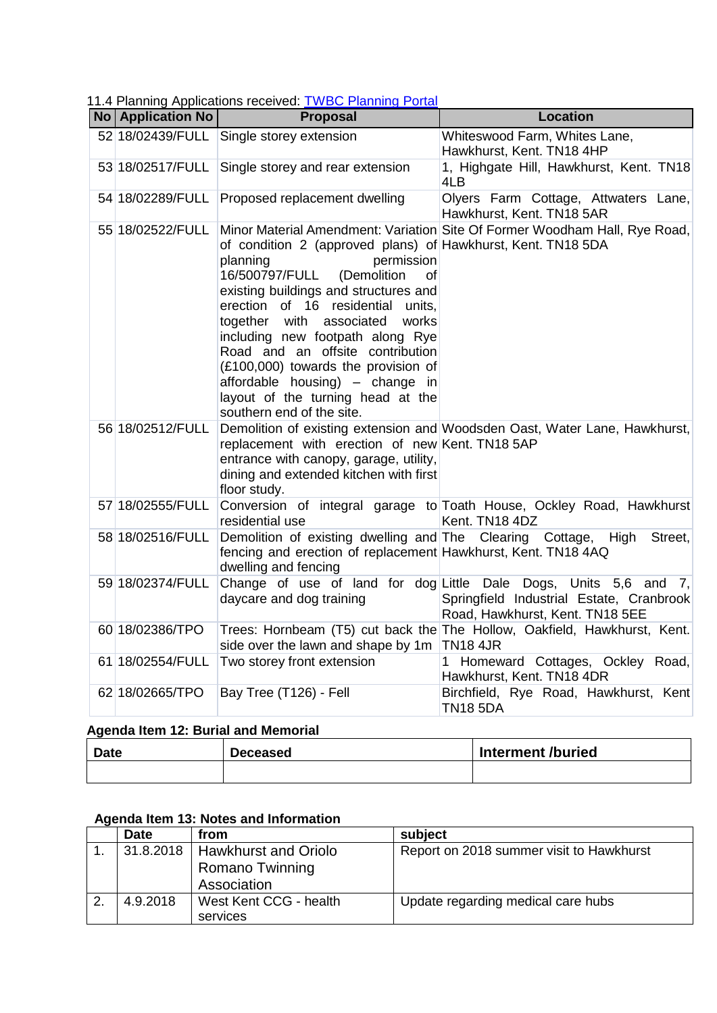11.4 Planning Applications received: [TWBC Planning Portal](http://www.tunbridgewells.gov.uk/residents/planning/planning-application-search)

| No   Application No | <b>1.41 I latining Applications received.</b> <u>TWDC Flammig Fortar</u><br><b>Proposal</b>                                                                                                                                                                                                                                                                                                                                                                          | <b>Location</b>                                                                                                                                 |
|---------------------|----------------------------------------------------------------------------------------------------------------------------------------------------------------------------------------------------------------------------------------------------------------------------------------------------------------------------------------------------------------------------------------------------------------------------------------------------------------------|-------------------------------------------------------------------------------------------------------------------------------------------------|
|                     | 52 18/02439/FULL Single storey extension                                                                                                                                                                                                                                                                                                                                                                                                                             | Whiteswood Farm, Whites Lane,<br>Hawkhurst, Kent. TN18 4HP                                                                                      |
| 53 18/02517/FULL    | Single storey and rear extension                                                                                                                                                                                                                                                                                                                                                                                                                                     | 1, Highgate Hill, Hawkhurst, Kent. TN18<br>4LB                                                                                                  |
|                     | 54 18/02289/FULL Proposed replacement dwelling                                                                                                                                                                                                                                                                                                                                                                                                                       | Olyers Farm Cottage, Attwaters Lane,<br>Hawkhurst, Kent. TN18 5AR                                                                               |
| 55 18/02522/FULL    | of condition 2 (approved plans) of Hawkhurst, Kent. TN18 5DA<br>planning<br>permission<br>16/500797/FULL<br>(Demolition<br>οf<br>existing buildings and structures and<br>erection of 16 residential units,<br>together with associated<br>works<br>including new footpath along Rye<br>Road and an offsite contribution<br>(£100,000) towards the provision of<br>affordable housing) - change in<br>layout of the turning head at the<br>southern end of the site. | Minor Material Amendment: Variation Site Of Former Woodham Hall, Rye Road,                                                                      |
| 56 18/02512/FULL    | replacement with erection of new Kent. TN18 5AP<br>entrance with canopy, garage, utility,<br>dining and extended kitchen with first<br>floor study.                                                                                                                                                                                                                                                                                                                  | Demolition of existing extension and Woodsden Oast, Water Lane, Hawkhurst,                                                                      |
| 57 18/02555/FULL    | residential use                                                                                                                                                                                                                                                                                                                                                                                                                                                      | Conversion of integral garage to Toath House, Ockley Road, Hawkhurst<br>Kent. TN18 4DZ                                                          |
| 58 18/02516/FULL    | Demolition of existing dwelling and The Clearing Cottage,<br>fencing and erection of replacement Hawkhurst, Kent. TN18 4AQ<br>dwelling and fencing                                                                                                                                                                                                                                                                                                                   | Street,<br>High                                                                                                                                 |
| 59 18/02374/FULL    | daycare and dog training                                                                                                                                                                                                                                                                                                                                                                                                                                             | Change of use of land for dog Little Dale Dogs, Units 5,6 and 7,<br>Springfield Industrial Estate, Cranbrook<br>Road, Hawkhurst, Kent. TN18 5EE |
| 60 18/02386/TPO     | side over the lawn and shape by 1m TN18 4JR                                                                                                                                                                                                                                                                                                                                                                                                                          | Trees: Hornbeam (T5) cut back the The Hollow, Oakfield, Hawkhurst, Kent.                                                                        |
| 61 18/02554/FULL    | Two storey front extension                                                                                                                                                                                                                                                                                                                                                                                                                                           | 1 Homeward Cottages, Ockley Road,<br>Hawkhurst, Kent. TN18 4DR                                                                                  |
| 62 18/02665/TPO     | Bay Tree (T126) - Fell                                                                                                                                                                                                                                                                                                                                                                                                                                               | Birchfield, Rye Road, Hawkhurst, Kent<br><b>TN18 5DA</b>                                                                                        |

## **Agenda Item 12: Burial and Memorial**

| <b>Date</b> | <b>Deceased</b> | Interment /buried |
|-------------|-----------------|-------------------|
|             |                 |                   |

## **Agenda Item 13: Notes and Information**

| <b>Date</b> | from                             | subject                                  |
|-------------|----------------------------------|------------------------------------------|
|             | 31.8.2018   Hawkhurst and Oriolo | Report on 2018 summer visit to Hawkhurst |
|             | Romano Twinning                  |                                          |
|             | Association                      |                                          |
| 4.9.2018    | West Kent CCG - health           | Update regarding medical care hubs       |
|             | services                         |                                          |